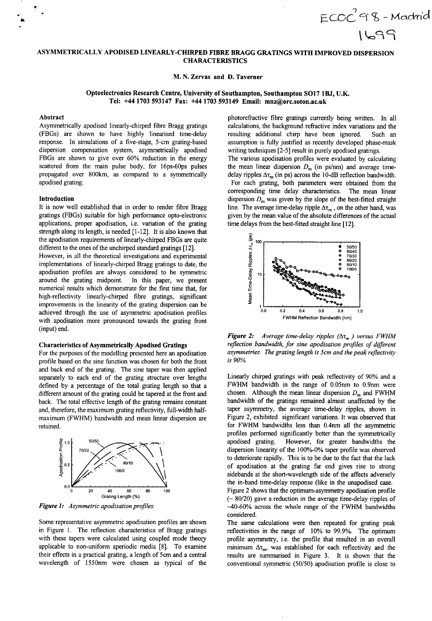**ASYMMETRICALLY APODISED LINEARLY-CHIRPED FIBRE BRAGG GRATINGS WITH IMPROVED DISPERSION CHARACTERISTICS** 

**M. N. Zervas and D. Taverner** 

# **Optoelectronics Research Centre, University of Southampton, Southampton SO17 lBJ, U.K. Tel: +44 1703 593147 Fax: +44 1703 593149 Email: mnz(@orc.soton.ac.uk**

### **Abstract**

Asymmetrically apodised linearly-chirped fibre Bragg gratings (FBGs) are shown to have highly linearised time-delay response. In simulations of a five-stage, 5-cm grating-based dispersion compensation system, asymmetrically apodised FBGs are shown to give over 60% reduction in the energy scattered from the main pulse body, for 16ps-6Ops pulses propagated over 800km, as compared to a symmetrically apodised grating.

#### **Introduction**

It is now well established that in order to render fibre Bragg gratings (FBGs) suitable for high performance opto-electronic applications, proper apodisation, i.e. variation of the grating strength along its length, is needed [l-121. It is also known that the apodisation requirements of linearly-chirped FBGs are quite different to the ones of the unchirped standard gratings [12].

However, in all the theoretical investigations and experimental implementations of linearly-chirped Bragg gratings to date, the apodisation profiles are always considered to be symmetric around the grating midpoint. In this paper, we present numerical results which demonstrate for the first time that, for high-reflectivity linearly-chirped fibre gratings, significant improvements in the linearity of the grating dispersion can be achieved through the use of asymmetric apodisation profiles with apodisation more pronounced towards the grating front (input) end.

## **Characteristics of Asymmetrically Apodised Gratings**

For the purposes of the modelling presented here an apodisation profile based on the sine function was chosen for both the front and back end of the grating. The sine taper was then applied separately to each end of the grating structure over lengths defined by a percentage of the total grating length so that a different amount of the grating could be tapered at the front and back. The total effective length of the grating remains constant and, therefore, the maximum grating reflectivity, full-width halfmaximum (FWHM) bandwidth and mean linear dispersion are retained.



*Figure I: Asymmetric apodisation profiles.* 

Some representative asymmetric apodisation profiles are shown in Figure 1. The reflection characteristics of Bragg gratings with these tapers were calculated using coupled mode theory applicable to non-uniform aperiodic media [8]. To examine their effects in a practical grating, a length of 5cm and a central wavelength of 1550nm were chosen as typical of the photorefractive fibre gratings currently being written. In all calculations, the background refractive index variations and the resulting additional chirp have been ignored. Such an assumption is fully justified as recently developed phase-mask writing techniques [2-5] result in purely apodised gratings.

 $ECOC$  98 - Madrid

1699

The various apodisation profiles were evaluated by calculating the mean linear dispersion  $D<sub>m</sub>$  (in ps/nm) and average timedelay ripples  $\Delta \tau$ <sub>m</sub> (in ps) across the 10-dB reflection bandwidth. For each grating, both parameters were obtained from the corresponding time delay characteristics. The mean linear dispersion  $D_m$  was given by the slope of the best-fitted straight line. The average time-delay ripple  $\Delta \tau_m$ , on the other hand, was given by the mean value of the absolute differences of the actual



*Figure 2: Average time-delay ripples*  $(\Delta \tau_m)$  *versus FWHM reflection bandwidth, for sine apodisation profiles of different asymmetries. The grating length is 5cm and the peak rejlectivity is 90%.* 

Linearly chirped gratings with peak reflectivity of 90% and a FWHM bandwidth in the range of 0.05nm to 0.9nm were chosen. Although the mean linear dispersion  $D_m$  and FWHM bandwidth of the gratings remained almost unaffected by the taper asymmetry, the average time-delay ripples, shown in Figure 2, exhibited significant variations. It was observed that for FWHM bandwidths less than 0.4nm all the asymmetric profiles performed significantly better than the symmetrically apodised grating. However, for greater bandwidths the dispersion linearity of the 100%-0% taper profile was observed to deteriorate rapidly. This is to be due to the fact that the lack of apodisation at the grating far end gives rise to strong sidebands at the short-wavelength side of the affects adversely the in-band time-delay response (like in the unapodised case. Figure 2 shows that the optimum-asymmetry apodisation profile  $($   $\sim$  80/20) gave a reduction in the average time-delay ripples of -40-60% across the whole range of the FWHM bandwidths considered.

The same calculations were then repeated for grating peak reflectivities in the range of 10% to 99.9%. The optimum profile asymmetry, i.e. the profile that resulted in an overall minimum  $\Delta \tau_m$ , was established for each reflectivity and the results are summarised in Figure **3.** It is shown that the conventional symmetric (50/50) apodisation profile is close to